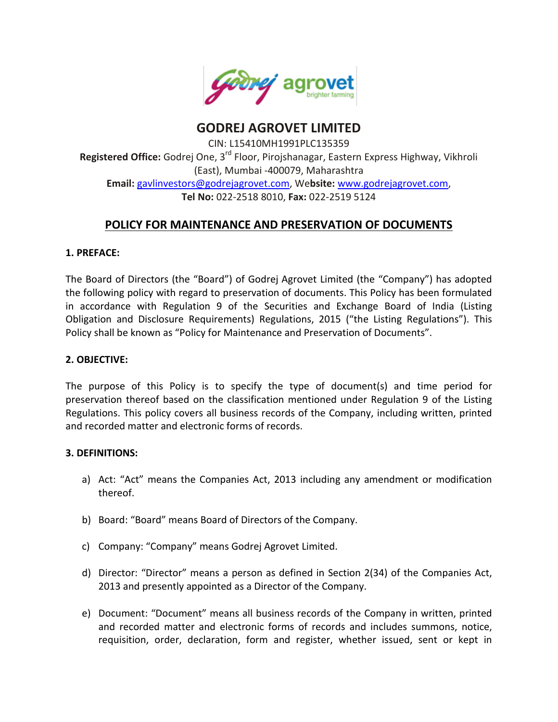

**GODREJ AGROVET LIMITED**

CIN: L15410MH1991PLC135359 **Registered Office:** Godrej One, 3rd Floor, Pirojshanagar, Eastern Express Highway, Vikhroli (East), Mumbai -400079, Maharashtra **Email:** [gavlinvestors@godrejagrovet.com,](mailto:gavlinvestors@godrejagrovet.com) We**bsite:** [www.godrejagrovet.com,](http://www.godrejagrovet.com/) **Tel No:** 022-2518 8010, **Fax:** 022-2519 5124

# **POLICY FOR MAINTENANCE AND PRESERVATION OF DOCUMENTS**

### **1. PREFACE:**

The Board of Directors (the "Board") of Godrej Agrovet Limited (the "Company") has adopted the following policy with regard to preservation of documents. This Policy has been formulated in accordance with Regulation 9 of the Securities and Exchange Board of India (Listing Obligation and Disclosure Requirements) Regulations, 2015 ("the Listing Regulations"). This Policy shall be known as "Policy for Maintenance and Preservation of Documents".

#### **2. OBJECTIVE:**

The purpose of this Policy is to specify the type of document(s) and time period for preservation thereof based on the classification mentioned under Regulation 9 of the Listing Regulations. This policy covers all business records of the Company, including written, printed and recorded matter and electronic forms of records.

#### **3. DEFINITIONS:**

- a) Act: "Act" means the Companies Act, 2013 including any amendment or modification thereof.
- b) Board: "Board" means Board of Directors of the Company.
- c) Company: "Company" means Godrej Agrovet Limited.
- d) Director: "Director" means a person as defined in Section 2(34) of the Companies Act, 2013 and presently appointed as a Director of the Company.
- e) Document: "Document" means all business records of the Company in written, printed and recorded matter and electronic forms of records and includes summons, notice, requisition, order, declaration, form and register, whether issued, sent or kept in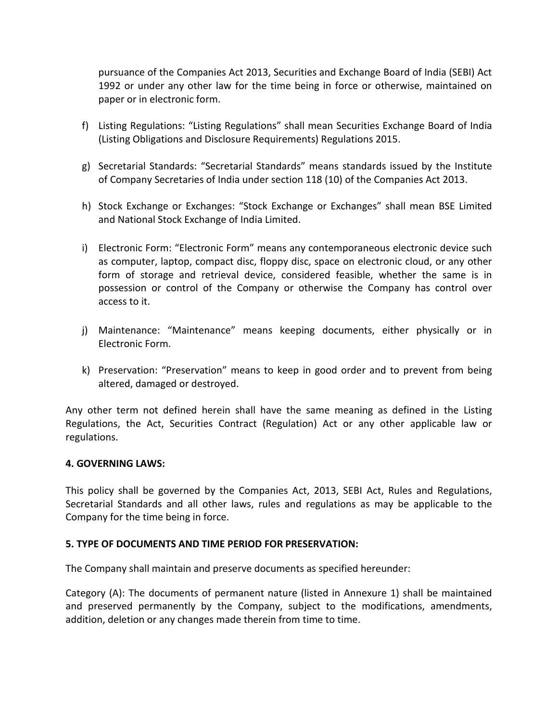pursuance of the Companies Act 2013, Securities and Exchange Board of India (SEBI) Act 1992 or under any other law for the time being in force or otherwise, maintained on paper or in electronic form.

- f) Listing Regulations: "Listing Regulations" shall mean Securities Exchange Board of India (Listing Obligations and Disclosure Requirements) Regulations 2015.
- g) Secretarial Standards: "Secretarial Standards" means standards issued by the Institute of Company Secretaries of India under section 118 (10) of the Companies Act 2013.
- h) Stock Exchange or Exchanges: "Stock Exchange or Exchanges" shall mean BSE Limited and National Stock Exchange of India Limited.
- i) Electronic Form: "Electronic Form" means any contemporaneous electronic device such as computer, laptop, compact disc, floppy disc, space on electronic cloud, or any other form of storage and retrieval device, considered feasible, whether the same is in possession or control of the Company or otherwise the Company has control over access to it.
- j) Maintenance: "Maintenance" means keeping documents, either physically or in Electronic Form.
- k) Preservation: "Preservation" means to keep in good order and to prevent from being altered, damaged or destroyed.

Any other term not defined herein shall have the same meaning as defined in the Listing Regulations, the Act, Securities Contract (Regulation) Act or any other applicable law or regulations.

#### **4. GOVERNING LAWS:**

This policy shall be governed by the Companies Act, 2013, SEBI Act, Rules and Regulations, Secretarial Standards and all other laws, rules and regulations as may be applicable to the Company for the time being in force.

#### **5. TYPE OF DOCUMENTS AND TIME PERIOD FOR PRESERVATION:**

The Company shall maintain and preserve documents as specified hereunder:

Category (A): The documents of permanent nature (listed in Annexure 1) shall be maintained and preserved permanently by the Company, subject to the modifications, amendments, addition, deletion or any changes made therein from time to time.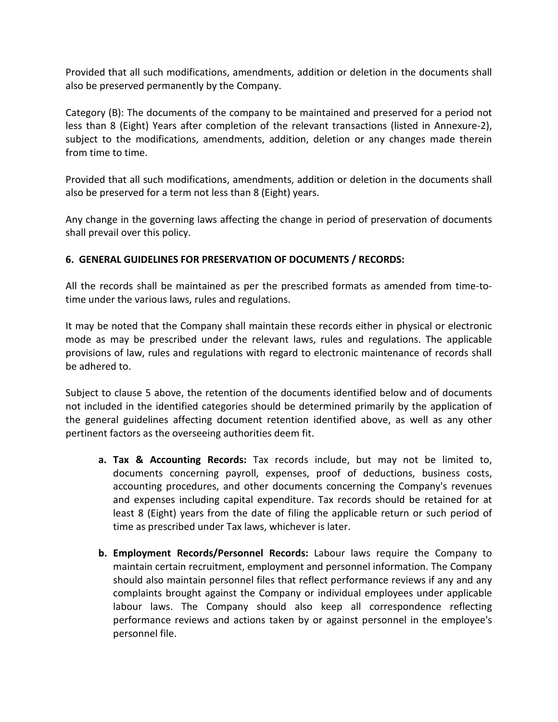Provided that all such modifications, amendments, addition or deletion in the documents shall also be preserved permanently by the Company.

Category (B): The documents of the company to be maintained and preserved for a period not less than 8 (Eight) Years after completion of the relevant transactions (listed in Annexure-2), subject to the modifications, amendments, addition, deletion or any changes made therein from time to time.

Provided that all such modifications, amendments, addition or deletion in the documents shall also be preserved for a term not less than 8 (Eight) years.

Any change in the governing laws affecting the change in period of preservation of documents shall prevail over this policy.

### **6. GENERAL GUIDELINES FOR PRESERVATION OF DOCUMENTS / RECORDS:**

All the records shall be maintained as per the prescribed formats as amended from time-totime under the various laws, rules and regulations.

It may be noted that the Company shall maintain these records either in physical or electronic mode as may be prescribed under the relevant laws, rules and regulations. The applicable provisions of law, rules and regulations with regard to electronic maintenance of records shall be adhered to.

Subject to clause 5 above, the retention of the documents identified below and of documents not included in the identified categories should be determined primarily by the application of the general guidelines affecting document retention identified above, as well as any other pertinent factors as the overseeing authorities deem fit.

- **a. Tax & Accounting Records:** Tax records include, but may not be limited to, documents concerning payroll, expenses, proof of deductions, business costs, accounting procedures, and other documents concerning the Company's revenues and expenses including capital expenditure. Tax records should be retained for at least 8 (Eight) years from the date of filing the applicable return or such period of time as prescribed under Tax laws, whichever is later.
- **b. Employment Records/Personnel Records:** Labour laws require the Company to maintain certain recruitment, employment and personnel information. The Company should also maintain personnel files that reflect performance reviews if any and any complaints brought against the Company or individual employees under applicable labour laws. The Company should also keep all correspondence reflecting performance reviews and actions taken by or against personnel in the employee's personnel file.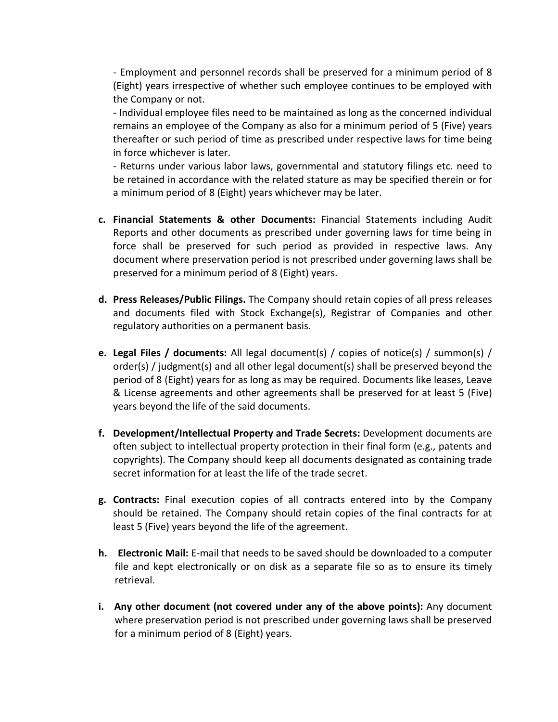- Employment and personnel records shall be preserved for a minimum period of 8 (Eight) years irrespective of whether such employee continues to be employed with the Company or not.

- Individual employee files need to be maintained as long as the concerned individual remains an employee of the Company as also for a minimum period of 5 (Five) years thereafter or such period of time as prescribed under respective laws for time being in force whichever is later.

- Returns under various labor laws, governmental and statutory filings etc. need to be retained in accordance with the related stature as may be specified therein or for a minimum period of 8 (Eight) years whichever may be later.

- **c. Financial Statements & other Documents:** Financial Statements including Audit Reports and other documents as prescribed under governing laws for time being in force shall be preserved for such period as provided in respective laws. Any document where preservation period is not prescribed under governing laws shall be preserved for a minimum period of 8 (Eight) years.
- **d. Press Releases/Public Filings.** The Company should retain copies of all press releases and documents filed with Stock Exchange(s), Registrar of Companies and other regulatory authorities on a permanent basis.
- **e. Legal Files / documents:** All legal document(s) / copies of notice(s) / summon(s) / order(s) / judgment(s) and all other legal document(s) shall be preserved beyond the period of 8 (Eight) years for as long as may be required. Documents like leases, Leave & License agreements and other agreements shall be preserved for at least 5 (Five) years beyond the life of the said documents.
- **f. Development/Intellectual Property and Trade Secrets:** Development documents are often subject to intellectual property protection in their final form (e.g., patents and copyrights). The Company should keep all documents designated as containing trade secret information for at least the life of the trade secret.
- **g. Contracts:** Final execution copies of all contracts entered into by the Company should be retained. The Company should retain copies of the final contracts for at least 5 (Five) years beyond the life of the agreement.
- **h. Electronic Mail:** E-mail that needs to be saved should be downloaded to a computer file and kept electronically or on disk as a separate file so as to ensure its timely retrieval.
- **i. Any other document (not covered under any of the above points):** Any document where preservation period is not prescribed under governing laws shall be preserved for a minimum period of 8 (Eight) years.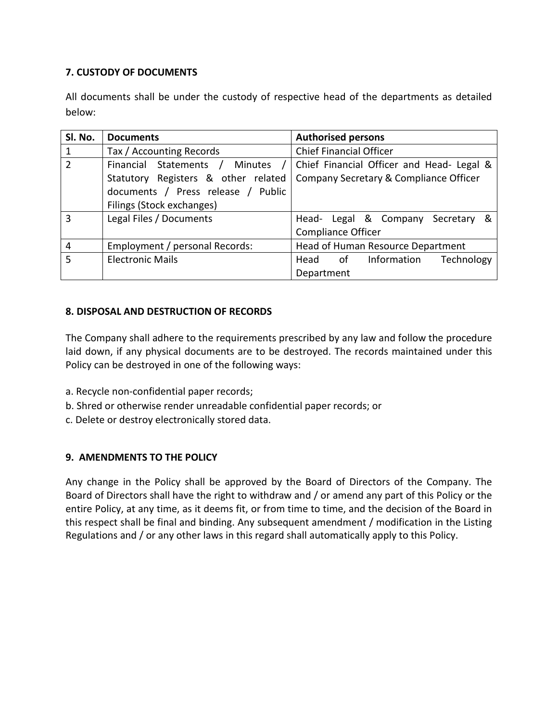## **7. CUSTODY OF DOCUMENTS**

All documents shall be under the custody of respective head of the departments as detailed below:

| SI. No.        | <b>Documents</b>                    | <b>Authorised persons</b>                 |  |
|----------------|-------------------------------------|-------------------------------------------|--|
| 1              | Tax / Accounting Records            | <b>Chief Financial Officer</b>            |  |
| $\overline{2}$ | Financial Statements / Minutes      | Chief Financial Officer and Head- Legal & |  |
|                | Statutory Registers & other related | Company Secretary & Compliance Officer    |  |
|                | documents / Press release / Public  |                                           |  |
|                | Filings (Stock exchanges)           |                                           |  |
| $\overline{3}$ | Legal Files / Documents             | Head- Legal & Company Secretary &         |  |
|                |                                     | <b>Compliance Officer</b>                 |  |
| $\overline{4}$ | Employment / personal Records:      | Head of Human Resource Department         |  |
| $\overline{5}$ | <b>Electronic Mails</b>             | Information<br>Technology<br>of<br>Head   |  |
|                |                                     | Department                                |  |

## **8. DISPOSAL AND DESTRUCTION OF RECORDS**

The Company shall adhere to the requirements prescribed by any law and follow the procedure laid down, if any physical documents are to be destroyed. The records maintained under this Policy can be destroyed in one of the following ways:

- a. Recycle non-confidential paper records;
- b. Shred or otherwise render unreadable confidential paper records; or
- c. Delete or destroy electronically stored data.

### **9. AMENDMENTS TO THE POLICY**

Any change in the Policy shall be approved by the Board of Directors of the Company. The Board of Directors shall have the right to withdraw and / or amend any part of this Policy or the entire Policy, at any time, as it deems fit, or from time to time, and the decision of the Board in this respect shall be final and binding. Any subsequent amendment / modification in the Listing Regulations and / or any other laws in this regard shall automatically apply to this Policy.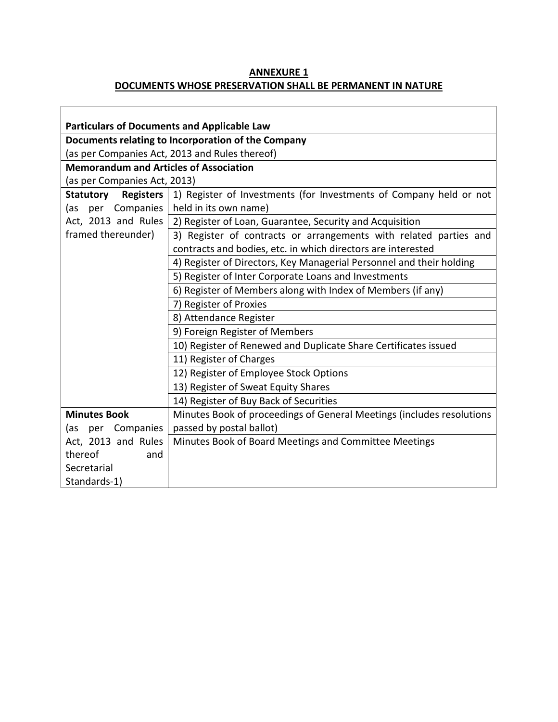## **ANNEXURE 1 DOCUMENTS WHOSE PRESERVATION SHALL BE PERMANENT IN NATURE**

٦

| <b>Particulars of Documents and Applicable Law</b> |                                                                       |  |  |  |  |
|----------------------------------------------------|-----------------------------------------------------------------------|--|--|--|--|
| Documents relating to Incorporation of the Company |                                                                       |  |  |  |  |
| (as per Companies Act, 2013 and Rules thereof)     |                                                                       |  |  |  |  |
| <b>Memorandum and Articles of Association</b>      |                                                                       |  |  |  |  |
| (as per Companies Act, 2013)                       |                                                                       |  |  |  |  |
| Statutory<br><b>Registers</b>                      | 1) Register of Investments (for Investments of Company held or not    |  |  |  |  |
| Companies<br>per<br>(as                            | held in its own name)                                                 |  |  |  |  |
| Act, 2013 and Rules                                | 2) Register of Loan, Guarantee, Security and Acquisition              |  |  |  |  |
| framed thereunder)                                 | 3) Register of contracts or arrangements with related parties and     |  |  |  |  |
|                                                    | contracts and bodies, etc. in which directors are interested          |  |  |  |  |
|                                                    | 4) Register of Directors, Key Managerial Personnel and their holding  |  |  |  |  |
|                                                    | 5) Register of Inter Corporate Loans and Investments                  |  |  |  |  |
|                                                    | 6) Register of Members along with Index of Members (if any)           |  |  |  |  |
|                                                    | 7) Register of Proxies                                                |  |  |  |  |
|                                                    | 8) Attendance Register                                                |  |  |  |  |
|                                                    | 9) Foreign Register of Members                                        |  |  |  |  |
|                                                    | 10) Register of Renewed and Duplicate Share Certificates issued       |  |  |  |  |
|                                                    | 11) Register of Charges                                               |  |  |  |  |
|                                                    | 12) Register of Employee Stock Options                                |  |  |  |  |
|                                                    | 13) Register of Sweat Equity Shares                                   |  |  |  |  |
|                                                    | 14) Register of Buy Back of Securities                                |  |  |  |  |
| <b>Minutes Book</b>                                | Minutes Book of proceedings of General Meetings (includes resolutions |  |  |  |  |
| (as per Companies                                  | passed by postal ballot)                                              |  |  |  |  |
| Act, 2013 and Rules                                | Minutes Book of Board Meetings and Committee Meetings                 |  |  |  |  |
| thereof<br>and                                     |                                                                       |  |  |  |  |
| Secretarial                                        |                                                                       |  |  |  |  |
| Standards-1)                                       |                                                                       |  |  |  |  |